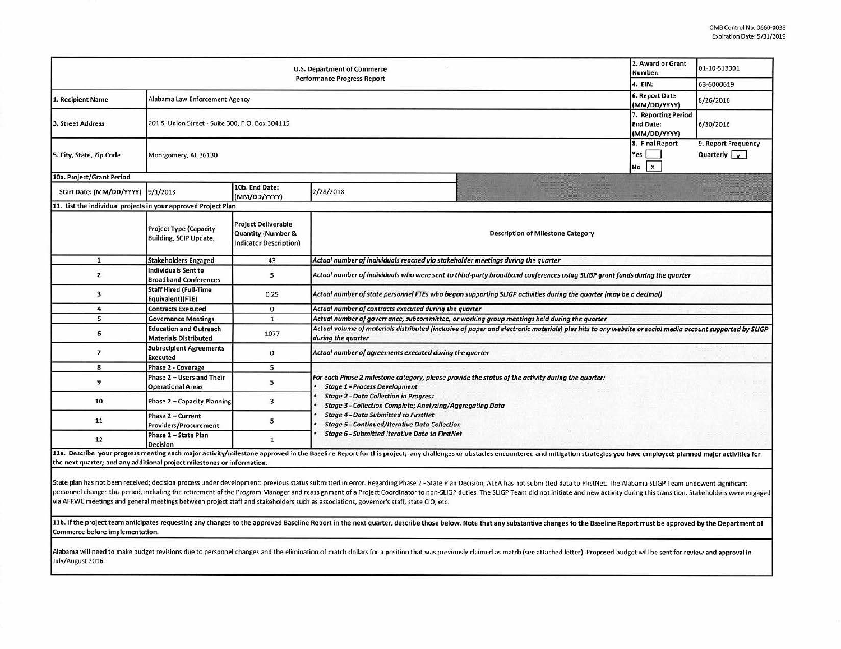| <b>U.S. Department of Commerce</b><br><b>Performance Progress Report</b> |                                                                |                                                                                              |                                                                                                                                                                                                                                                                                         |  | 01-10-S13001 |  |  |  |  |
|--------------------------------------------------------------------------|----------------------------------------------------------------|----------------------------------------------------------------------------------------------|-----------------------------------------------------------------------------------------------------------------------------------------------------------------------------------------------------------------------------------------------------------------------------------------|--|--------------|--|--|--|--|
|                                                                          | 4. EIN:                                                        | 63-6000619                                                                                   |                                                                                                                                                                                                                                                                                         |  |              |  |  |  |  |
| 1. Recipient Name                                                        | Alabama Law Enforcement Agency                                 | 6. Report Date<br>(MM/DD/YYYY)                                                               | 8/26/2016                                                                                                                                                                                                                                                                               |  |              |  |  |  |  |
| 3. Street Address                                                        | 201 S. Union Street - Suite 300, P.O. Box 304115               | 7. Reporting Period<br><b>End Date:</b><br>(MM/DD/YYYY)                                      | 6/30/2016                                                                                                                                                                                                                                                                               |  |              |  |  |  |  |
| 5. City, State, Zip Code                                                 | Montgomery, AL 36130                                           | 8. Final Report<br>Yes<br>$\mathbf{x}$<br>No                                                 | 9. Report Frequency<br>Quarterly $x$                                                                                                                                                                                                                                                    |  |              |  |  |  |  |
| 10a. Project/Grant Period                                                |                                                                |                                                                                              |                                                                                                                                                                                                                                                                                         |  |              |  |  |  |  |
| Start Date: (MM/DD/YYYY) 9/1/2013                                        |                                                                | 10b. End Date:<br>(MM/DD/YYYY)                                                               | 2/28/2018                                                                                                                                                                                                                                                                               |  |              |  |  |  |  |
| 11. List the individual projects in your approved Project Plan           |                                                                |                                                                                              |                                                                                                                                                                                                                                                                                         |  |              |  |  |  |  |
|                                                                          | <b>Project Type (Capacity</b><br><b>Building, SCIP Update,</b> | <b>Project Deliverable</b><br><b>Quantity (Number &amp;</b><br><b>Indicator Description)</b> | <b>Description of Milestone Category</b>                                                                                                                                                                                                                                                |  |              |  |  |  |  |
| ${\bf 1}$                                                                | <b>Stakeholders Engaged</b>                                    | 43                                                                                           | Actual number of individuals reached via stakeholder meetings during the quarter                                                                                                                                                                                                        |  |              |  |  |  |  |
| $\overline{\mathbf{z}}$                                                  | <b>Individuals Sent to</b><br><b>Broadband Conferences</b>     | 5                                                                                            | Actual number of individuals who were sent to third-party broadband conferences using SLIGP grant funds during the quarter                                                                                                                                                              |  |              |  |  |  |  |
| 3                                                                        | <b>Staff Hired (Full-Time</b><br>Equivalent)(FTE)              | 0.25                                                                                         | Actual number of state personnel FTEs who began supporting SLIGP activities during the quarter (may be a decimal)                                                                                                                                                                       |  |              |  |  |  |  |
| 4                                                                        | <b>Contracts Executed</b>                                      | $\mathbf{0}$                                                                                 | Actual number of contracts executed during the quarter                                                                                                                                                                                                                                  |  |              |  |  |  |  |
| 5                                                                        | <b>Governance Meetings</b>                                     | $\mathbf{1}$                                                                                 | Actual number of governance, subcommittee, or working group meetings held during the quarter                                                                                                                                                                                            |  |              |  |  |  |  |
| 6                                                                        | <b>Education and Outreach</b><br><b>Materials Distributed</b>  | 1077                                                                                         | Actual volume of materials distributed (inclusive of paper and electronic materials) plus hits to any website or social media account supported by SLIGP<br>during the quarter                                                                                                          |  |              |  |  |  |  |
| 7                                                                        | <b>Subrecipient Agreements</b><br><b>Executed</b>              | 0                                                                                            | Actual number of agreements executed during the quarter                                                                                                                                                                                                                                 |  |              |  |  |  |  |
| 8                                                                        | <b>Phase 2 - Coverage</b>                                      | 5                                                                                            |                                                                                                                                                                                                                                                                                         |  |              |  |  |  |  |
| 9                                                                        | Phase 2 - Users and Their<br><b>Operational Areas</b>          | 5                                                                                            | For each Phase 2 milestone category, please provide the status of the activity during the quarter:<br><b>Stage 1 - Process Development</b><br><b>Stage 2 - Data Collection in Progress</b><br>Stage 3 - Collection Complete; Analyzing/Aggregating Data                                 |  |              |  |  |  |  |
| 10                                                                       | <b>Phase 2 - Capacity Planning</b>                             | 3                                                                                            |                                                                                                                                                                                                                                                                                         |  |              |  |  |  |  |
| 11                                                                       | <b>Phase 2 - Current</b><br><b>Providers/Procurement</b>       | 5                                                                                            | <b>Stage 4 - Data Submitted to FirstNet</b><br><b>Stage 5 - Continued/Iterative Data Collection</b>                                                                                                                                                                                     |  |              |  |  |  |  |
| 12                                                                       | Phase 2 - State Plan<br><b>Decision</b>                        |                                                                                              | <b>Stage 6 - Submitted Iterative Data to FirstNet</b><br>11a. Describe your progress meeting each major activity/milestone approved in the Baseline Report for this project; any challenges or obstacles encountered and mitigation strategies you have employed; planned major activit |  |              |  |  |  |  |

the next quarter; and any additional project milestones or information.

State plan has not been received; decision process under development: previous status submitted in error. Regarding Phase 2 - State Plan Decision, ALEA has not submitted data to FirstNet. The Alabama SLIGP Team undewent si personnel changes this period, including the retirement of the Program Manager and reassignment of a Project Coordinator to non-SLIGP duties. The SLIGP Team did not initiate and new activity during this transition. Stakeho via AFRWC meetings and general meetings between project staff and stakeholders such as associations, governor's staff, state CIO, etc.

11b. If the project team anticipates requesting any changes to the approved Baseline Report in the next quarter, describe those below. Note that any substantive changes to the Baseline Report must be approved by the Depart Commerce before implementation.

Alabama will need to make budget revisions due to personnel changes and the elimination of match dollars for a position that was previously claimed as match (see attached letter). Proposed budget will be sent for review an July/August 2016.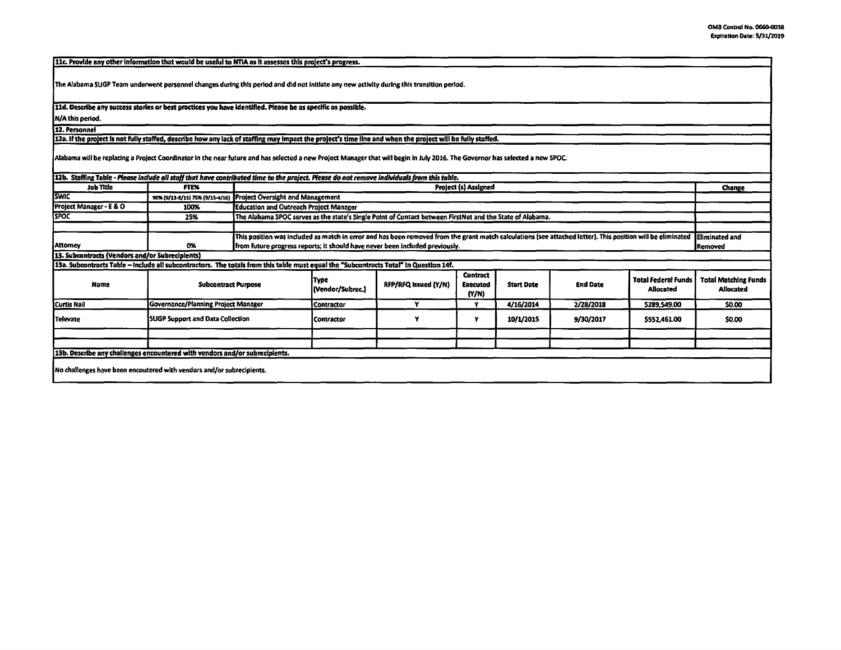[11c. Provide any other information that would be useful to NTIA as it assesses this project's progress.

The Alabama SUGP Team underwent personnel changes during this period and did not initiate any new activity during this transition period.

11d. Describe any success stories or best practices you have identified. Please be as specific as possible.

N/A this period.

12. Personnel 12a. If the project is not fully staffed, describe how any lack of staffing may impact the project's time line and when the project will be fully staffed.

Alabama will be replacing a Project Coordinator in the near future and has selected a new Project Manager that will begin in July 2016. The Governor has selected a new SPOC.

| 12b. Staffing Table - Please include all staff that have contributed time to the project. Please do not remove individuals from this table. |                                     |                                                                                                                                                                                                                                             |                          |                      |                                             |                   |                 |                                         |                                                 |
|---------------------------------------------------------------------------------------------------------------------------------------------|-------------------------------------|---------------------------------------------------------------------------------------------------------------------------------------------------------------------------------------------------------------------------------------------|--------------------------|----------------------|---------------------------------------------|-------------------|-----------------|-----------------------------------------|-------------------------------------------------|
| <b>Job Title</b>                                                                                                                            | <b>FTEX</b>                         | Project (s) Assigned                                                                                                                                                                                                                        |                          |                      |                                             |                   |                 | Change                                  |                                                 |
| <b>SWIC</b>                                                                                                                                 |                                     | 90% (9/13-8/15) 75% (9/15-4/16) Project Oversight and Management                                                                                                                                                                            |                          |                      |                                             |                   |                 |                                         |                                                 |
| Project Manager - E & O                                                                                                                     | 100%                                | Education and Outreach Project Manager                                                                                                                                                                                                      |                          |                      |                                             |                   |                 |                                         |                                                 |
| <b>SPOC</b>                                                                                                                                 | 25%                                 | The Alabama SPOC serves as the state's Single Point of Contact between FirstNet and the State of Alabama.                                                                                                                                   |                          |                      |                                             |                   |                 |                                         |                                                 |
|                                                                                                                                             |                                     |                                                                                                                                                                                                                                             |                          |                      |                                             |                   |                 |                                         |                                                 |
| <b>Attorney</b>                                                                                                                             | 0%                                  | This position was included as match in error and has been removed from the grant match calculations (see attached letter). This position will be eliminated<br>from future progress reports; it should have never been included previously. |                          |                      |                                             |                   |                 | Eliminated and<br> Removed              |                                                 |
| 13. Subcontracts (Vendors and/or Subrecipients)                                                                                             |                                     |                                                                                                                                                                                                                                             |                          |                      |                                             |                   |                 |                                         |                                                 |
| 13a. Subcontracts Table - Include all subcontractors. The totals from this table must equal the "Subcontracts Total" in Question 14f.       |                                     |                                                                                                                                                                                                                                             |                          |                      |                                             |                   |                 |                                         |                                                 |
| Name                                                                                                                                        | <b>Subcontract Purpose</b>          |                                                                                                                                                                                                                                             | Түре<br>(Vendor/Subrec.) | RFP/RFQ Issued (Y/N) | <b>Contract</b><br><b>Executed</b><br>[Y/N] | <b>Start Date</b> | <b>End Date</b> | <b>Total Federal Funds</b><br>Allocated | <b>Total Matching Funds</b><br><b>Allocated</b> |
| Curtis Nail                                                                                                                                 | Governance/Planning Project Manager |                                                                                                                                                                                                                                             | l Contractor             |                      |                                             | 4/16/2014         | 2/28/2018       | \$289,549.00                            | \$0.00                                          |
| Televate                                                                                                                                    | SUGP Support and Data Collection    |                                                                                                                                                                                                                                             | <b>Contractor</b>        |                      |                                             | 10/1/2015         | 9/30/2017       | \$552,461.00                            | \$0.00                                          |
|                                                                                                                                             |                                     |                                                                                                                                                                                                                                             |                          |                      |                                             |                   |                 |                                         |                                                 |
|                                                                                                                                             |                                     |                                                                                                                                                                                                                                             |                          |                      |                                             |                   |                 |                                         |                                                 |
| 13b. Describe any challenges encountered with vendors and/or subrecipients.                                                                 |                                     |                                                                                                                                                                                                                                             |                          |                      |                                             |                   |                 |                                         |                                                 |
| No challenges have been encoutered with vendors and/or subrecipients.                                                                       |                                     |                                                                                                                                                                                                                                             |                          |                      |                                             |                   |                 |                                         |                                                 |